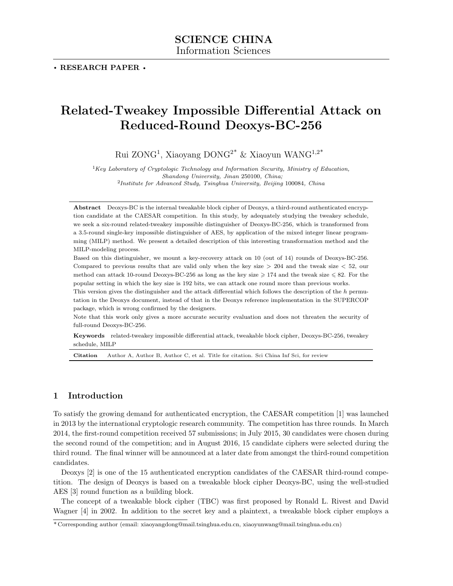# Related-Tweakey Impossible Differential Attack on Reduced-Round Deoxys-BC-256

Rui ZONG<sup>1</sup> , Xiaoyang DONG2\* & Xiaoyun WANG1,2\*

 ${}^{1}$ Key Laboratory of Cryptologic Technology and Information Security, Ministry of Education, Shandong University, Jinan 250100, China; <sup>2</sup>Institute for Advanced Study, Tsinghua University, Beijing 100084, China

Abstract Deoxys-BC is the internal tweakable block cipher of Deoxys, a third-round authenticated encryption candidate at the CAESAR competition. In this study, by adequately studying the tweakey schedule, we seek a six-round related-tweakey impossible distinguisher of Deoxys-BC-256, which is transformed from a 3.5-round single-key impossible distinguisher of AES, by application of the mixed integer linear programming (MILP) method. We present a detailed description of this interesting transformation method and the MILP-modeling process.

Based on this distinguisher, we mount a key-recovery attack on 10 (out of 14) rounds of Deoxys-BC-256. Compared to previous results that are valid only when the key size  $> 204$  and the tweak size  $< 52$ , our method can attack 10-round Deoxys-BC-256 as long as the key size  $\geq 174$  and the tweak size  $\leq 82$ . For the popular setting in which the key size is 192 bits, we can attack one round more than previous works.

This version gives the distinguisher and the attack differential which follows the description of the h permutation in the Deoxys document, instead of that in the Deoxys reference implementation in the SUPERCOP package, which is wrong confirmed by the designers.

Note that this work only gives a more accurate security evaluation and does not threaten the security of full-round Deoxys-BC-256.

Keywords related-tweakey impossible differential attack, tweakable block cipher, Deoxys-BC-256, tweakey schedule, MILP

Citation Author A, Author B, Author C, et al. Title for citation. Sci China Inf Sci, for review

# 1 Introduction

To satisfy the growing demand for authenticated encryption, the CAESAR competition [\[1\]](#page-11-0) was launched in 2013 by the international cryptologic research community. The competition has three rounds. In March 2014, the first-round competition received 57 submissions; in July 2015, 30 candidates were chosen during the second round of the competition; and in August 2016, 15 candidate ciphers were selected during the third round. The final winner will be announced at a later date from amongst the third-round competition candidates.

Deoxys [\[2\]](#page-11-1) is one of the 15 authenticated encryption candidates of the CAESAR third-round competition. The design of Deoxys is based on a tweakable block cipher Deoxys-BC, using the well-studied AES [\[3\]](#page-11-2) round function as a building block.

The concept of a tweakable block cipher (TBC) was first proposed by Ronald L. Rivest and David Wagner [\[4\]](#page-11-3) in 2002. In addition to the secret key and a plaintext, a tweakable block cipher employs a

<sup>\*</sup> Corresponding author (email: xiaoyangdong@mail.tsinghua.edu.cn, xiaoyunwang@mail.tsinghua.edu.cn)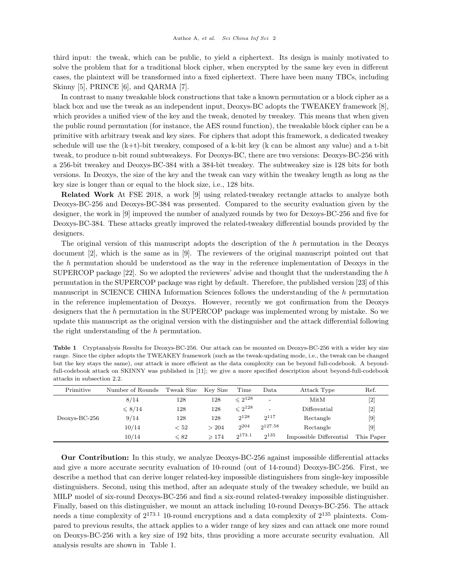third input: the tweak, which can be public, to yield a ciphertext. Its design is mainly motivated to solve the problem that for a traditional block cipher, when encrypted by the same key even in different cases, the plaintext will be transformed into a fixed ciphertext. There have been many TBCs, including Skinny [\[5\]](#page-11-4), PRINCE [\[6\]](#page-11-5), and QARMA [\[7\]](#page-11-6).

In contrast to many tweakable block constructions that take a known permutation or a block cipher as a black box and use the tweak as an independent input, Deoxys-BC adopts the TWEAKEY framework [\[8\]](#page-11-7), which provides a unified view of the key and the tweak, denoted by tweakey. This means that when given the public round permutation (for instance, the AES round function), the tweakable block cipher can be a primitive with arbitrary tweak and key sizes. For ciphers that adopt this framework, a dedicated tweakey schedule will use the  $(k+t)$ -bit tweakey, composed of a k-bit key (k can be almost any value) and a t-bit tweak, to produce n-bit round subtweakeys. For Deoxys-BC, there are two versions: Deoxys-BC-256 with a 256-bit tweakey and Deoxys-BC-384 with a 384-bit tweakey. The subtweakey size is 128 bits for both versions. In Deoxys, the size of the key and the tweak can vary within the tweakey length as long as the key size is longer than or equal to the block size, i.e., 128 bits.

Related Work At FSE 2018, a work [\[9\]](#page-12-0) using related-tweakey rectangle attacks to analyze both Deoxys-BC-256 and Deoxys-BC-384 was presented. Compared to the security evaluation given by the designer, the work in [\[9\]](#page-12-0) improved the number of analyzed rounds by two for Dexoys-BC-256 and five for Deoxys-BC-384. These attacks greatly improved the related-tweakey differential bounds provided by the designers.

The original version of this manuscript adopts the description of the h permutation in the Deoxys document [\[2\]](#page-11-1), which is the same as in [\[9\]](#page-12-0). The reviewers of the original manuscript pointed out that the h permutation should be understood as the way in the reference implementation of Deoxys in the SUPERCOP package  $[22]$ . So we adopted the reviewers' advise and thought that the understanding the h permutation in the SUPERCOP package was right by default. Therefore, the published version [\[23\]](#page-12-2) of this manuscript in SCIENCE CHINA Information Sciences follows the understanding of the h permutation in the reference implementation of Deoxys. However, recently we got confirmation from the Deoxys designers that the h permutation in the SUPERCOP package was implemented wrong by mistake. So we update this manuscript as the original version with the distinguisher and the attack differential following the right understanding of the h permutation.

<span id="page-1-0"></span>

| <b>Table 1</b> Cryptanalysis Results for Deoxys-BC-256. Our attack can be mounted on Deoxys-BC-256 with a wider key size |
|--------------------------------------------------------------------------------------------------------------------------|
| range. Since the cipher adopts the TWEAKEY framework (such as the tweak-updating mode, i.e., the tweak can be changed    |
| but the key stays the same), our attack is more efficient as the data complexity can be beyond full-codebook. A beyond-  |
| full-codebook attack on SKINNY was published in [11]; we give a more specified description about beyond-full-codebook    |
| attacks in subsection 2.2.                                                                                               |
|                                                                                                                          |

| Primitive       | Number of Rounds | Tweak Size | Key Size        | Time           | Data      | Attack Type             | Ref.               |
|-----------------|------------------|------------|-----------------|----------------|-----------|-------------------------|--------------------|
|                 | 8/14             | 128        | 128             | $\leq 2^{128}$ | -         | MitM                    |                    |
|                 | $\leqslant 8/14$ | 128        | 128             | $\leq 2^{128}$ | -         | Differential            |                    |
| $Deoxys-BC-256$ | 9/14             | 128        | 128             | $2^{128}$      | $2^{117}$ | Rectangle               | [9]                |
|                 | 10/14            | < 52       | > 204           | 2204           | 2127.58   | Rectangle               | $\left[ 9 \right]$ |
|                 | 10/14            | $\leq 82$  | $\geqslant$ 174 | 2173.1         | $2^{135}$ | Impossible Differential | This Paper         |

Our Contribution: In this study, we analyze Deoxys-BC-256 against impossible differential attacks and give a more accurate security evaluation of 10-round (out of 14-round) Deoxys-BC-256. First, we describe a method that can derive longer related-key impossible distinguishers from single-key impossible distinguishers. Second, using this method, after an adequate study of the tweakey schedule, we build an MILP model of six-round Deoxys-BC-256 and find a six-round related-tweakey impossible distinguisher. Finally, based on this distinguisher, we mount an attack including 10-round Deoxys-BC-256. The attack needs a time complexity of  $2^{173.1}$  10-round encryptions and a data complexity of  $2^{135}$  plaintexts. Compared to previous results, the attack applies to a wider range of key sizes and can attack one more round on Deoxys-BC-256 with a key size of 192 bits, thus providing a more accurate security evaluation. All analysis results are shown in [Table 1.](#page-1-0)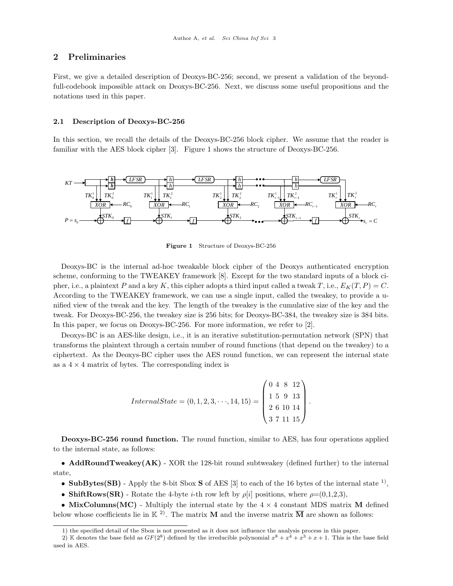# 2 Preliminaries

First, we give a detailed description of Deoxys-BC-256; second, we present a validation of the beyondfull-codebook impossible attack on Deoxys-BC-256. Next, we discuss some useful propositions and the notations used in this paper.

#### <span id="page-2-3"></span>2.1 Description of Deoxys-BC-256

In this section, we recall the details of the Deoxys-BC-256 block cipher. We assume that the reader is familiar with the AES block cipher [\[3\]](#page-11-2). [Figure 1](#page-2-0) shows the structure of Deoxys-BC-256.

<span id="page-2-0"></span>

Figure 1 Structure of Deoxys-BC-256

Deoxys-BC is the internal ad-hoc tweakable block cipher of the Deoxys authenticated encryption scheme, conforming to the TWEAKEY framework [\[8\]](#page-11-7). Except for the two standard inputs of a block cipher, i.e., a plaintext P and a key K, this cipher adopts a third input called a tweak T, i.e.,  $E_K(T, P) = C$ . According to the TWEAKEY framework, we can use a single input, called the tweakey, to provide a unified view of the tweak and the key. The length of the tweakey is the cumulative size of the key and the tweak. For Deoxys-BC-256, the tweakey size is 256 bits; for Deoxys-BC-384, the tweakey size is 384 bits. In this paper, we focus on Deoxys-BC-256. For more information, we refer to [\[2\]](#page-11-1).

Deoxys-BC is an AES-like design, i.e., it is an iterative substitution-permutation network (SPN) that transforms the plaintext through a certain number of round functions (that depend on the tweakey) to a ciphertext. As the Deoxys-BC cipher uses the AES round function, we can represent the internal state as a  $4 \times 4$  matrix of bytes. The corresponding index is

> $Internal State = (0, 1, 2, 3, \dots, 14, 15) =$  $\sqrt{ }$  $\overline{\phantom{a}}$ 0 4 8 12 1 5 9 13 2 6 10 14 3 7 11 15  $\setminus$  $\Bigg\}$

Deoxys-BC-256 round function. The round function, similar to AES, has four operations applied to the internal state, as follows:

• AddRoundTweakey(AK) - XOR the 128-bit round subtweakey (defined further) to the internal state,

- SubBytes(SB) Apply the 8-bit Sbox S of AES [\[3\]](#page-11-2) to each of the 16 bytes of the internal state  $^{1}$ ,
- ShiftRows(SR) Rotate the 4-byte *i*-th row left by  $\rho[i]$  positions, where  $\rho=(0,1,2,3)$ ,

• MixColumns(MC) - Multiply the internal state by the  $4 \times 4$  constant MDS matrix M defined below whose coefficients lie in  $\mathbb{K}^{2}$ . The matrix **M** and the inverse matrix  $\overline{M}$  are shown as follows:

<span id="page-2-2"></span><span id="page-2-1"></span><sup>1)</sup> the specified detail of the Sbox is not presented as it does not influence the analysis process in this paper.

<sup>2)</sup> K denotes the base field as  $GF(2^8)$  defined by the irreducible polynomial  $x^8 + x^4 + x^3 + x + 1$ . This is the base field used in AES.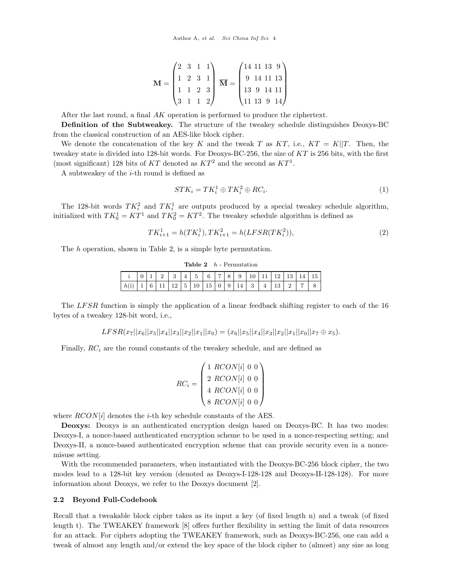$$
\mathbf{M} = \begin{pmatrix} 2 & 3 & 1 & 1 \\ 1 & 2 & 3 & 1 \\ 1 & 1 & 2 & 3 \\ 3 & 1 & 1 & 2 \end{pmatrix} \overline{\mathbf{M}} = \begin{pmatrix} 14 & 11 & 13 & 9 \\ 9 & 14 & 11 & 13 \\ 13 & 9 & 14 & 11 \\ 11 & 13 & 9 & 14 \end{pmatrix}
$$

After the last round, a final AK operation is performed to produce the ciphertext.

Definition of the Subtweakey. The structure of the tweakey schedule distinguishes Deoxys-BC from the classical construction of an AES-like block cipher.

We denote the concatenation of the key K and the tweak T as  $KT$ , i.e.,  $KT = K||T$ . Then, the tweakey state is divided into 128-bit words. For Deoxys-BC-256, the size of KT is 256 bits, with the first (most significant) 128 bits of KT denoted as  $KT^2$  and the second as  $KT^1$ .

A subtweakey of the  $i$ -th round is defined as

$$
STK_i = TK_i^1 \oplus TK_i^2 \oplus RC_i. \tag{1}
$$

The 128-bit words  $TK_i^2$  and  $TK_i^1$  are outputs produced by a special tweakey schedule algorithm, initialized with  $TK_0^1 = KT^1$  and  $TK_0^2 = KT^2$ . The tweakey schedule algorithm is defined as

$$
TK_{i+1}^1 = h(TK_i^1), TK_{i+1}^2 = h(LFSR(TK_i^2)),\tag{2}
$$

<span id="page-3-1"></span>The h operation, shown in [Table 2,](#page-3-1) is a simple byte permutation.

| Table 2<br>$n$ - Permutation |  |            |          |               |             |    |           |                |   |    |   |   |           |          |  |  |
|------------------------------|--|------------|----------|---------------|-------------|----|-----------|----------------|---|----|---|---|-----------|----------|--|--|
| ٠<br>Ŧ                       |  |            | $\Omega$ | $\Omega$<br>Ω |             | 5  | 6         | $\overline{ }$ |   | 9  |   |   |           |          |  |  |
| h(i)                         |  | $\sqrt{2}$ |          | ⊥∠            | ►<br>∽<br>◡ | 10 | 1 H<br>15 | $\mathbf{0}$   | 9 | 14 | 3 | 4 | 19.<br>ŦΩ | $\Omega$ |  |  |

 $T_{\rm max}$   $\sim$  Permutation

The LFSR function is simply the application of a linear feedback shifting register to each of the 16 bytes of a tweakey 128-bit word, i.e.,

$$
LFSR(x_7||x_6||x_5||x_4||x_3||x_2||x_1||x_0) = (x_6||x_5||x_4||x_3||x_2||x_1||x_0||x_7 \oplus x_5).
$$

Finally,  $RC<sub>i</sub>$  are the round constants of the tweakey schedule, and are defined as

$$
RC_i = \begin{pmatrix} 1 & RCON[i] & 0 & 0 \\ 2 & RCON[i] & 0 & 0 \\ 4 & RCON[i] & 0 & 0 \\ 8 & RCON[i] & 0 & 0 \end{pmatrix}
$$

where  $RCON[i]$  denotes the *i*-th key schedule constants of the AES.

Deoxys: Deoxys is an authenticated encryption design based on Deoxys-BC. It has two modes: Deoxys-I, a nonce-based authenticated encryption scheme to be used in a nonce-respecting setting; and Deoxys-II, a nonce-based authenticated encryption scheme that can provide security even in a noncemisuse setting.

With the recommended parameters, when instantiated with the Deoxys-BC-256 block cipher, the two modes lead to a 128-bit key version (denoted as Deoxys-I-128-128 and Deoxys-II-128-128). For more information about Deoxys, we refer to the Deoxys document [\[2\]](#page-11-1).

#### <span id="page-3-0"></span>2.2 Beyond Full-Codebook

Recall that a tweakable block cipher takes as its input a key (of fixed length n) and a tweak (of fixed length t). The TWEAKEY framework [\[8\]](#page-11-7) offers further flexibility in setting the limit of data resources for an attack. For ciphers adopting the TWEAKEY framework, such as Deoxys-BC-256, one can add a tweak of almost any length and/or extend the key space of the block cipher to (almost) any size as long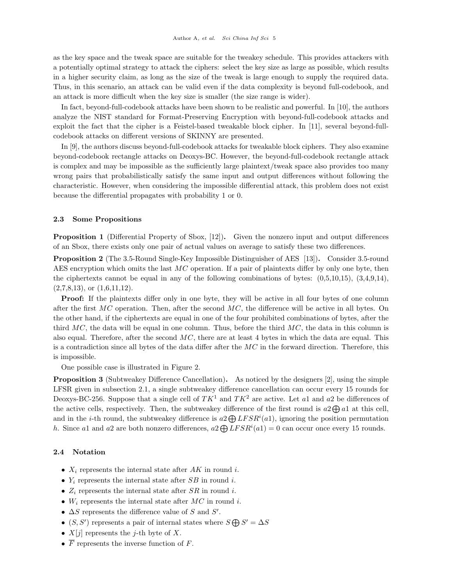as the key space and the tweak space are suitable for the tweakey schedule. This provides attackers with a potentially optimal strategy to attack the ciphers: select the key size as large as possible, which results in a higher security claim, as long as the size of the tweak is large enough to supply the required data. Thus, in this scenario, an attack can be valid even if the data complexity is beyond full-codebook, and an attack is more difficult when the key size is smaller (the size range is wider).

In fact, beyond-full-codebook attacks have been shown to be realistic and powerful. In [\[10\]](#page-12-4), the authors analyze the NIST standard for Format-Preserving Encryption with beyond-full-codebook attacks and exploit the fact that the cipher is a Feistel-based tweakable block cipher. In [\[11\]](#page-12-3), several beyond-fullcodebook attacks on different versions of SKINNY are presented.

In [\[9\]](#page-12-0), the authors discuss beyond-full-codebook attacks for tweakable block ciphers. They also examine beyond-codebook rectangle attacks on Deoxys-BC. However, the beyond-full-codebook rectangle attack is complex and may be impossible as the sufficiently large plaintext/tweak space also provides too many wrong pairs that probabilistically satisfy the same input and output differences without following the characteristic. However, when considering the impossible differential attack, this problem does not exist because the differential propagates with probability 1 or 0.

#### 2.3 Some Propositions

Proposition 1 (Differential Property of Sbox, [\[12\]](#page-12-5)). Given the nonzero input and output differences of an Sbox, there exists only one pair of actual values on average to satisfy these two differences.

Proposition 2 (The 3.5-Round Single-Key Impossible Distinguisher of AES [\[13\]](#page-12-6)). Consider 3.5-round AES encryption which omits the last MC operation. If a pair of plaintexts differ by only one byte, then the ciphertexts cannot be equal in any of the following combinations of bytes:  $(0.5, 10, 15)$ ,  $(3.4, 9, 14)$ ,  $(2,7,8,13)$ , or  $(1,6,11,12)$ .

Proof: If the plaintexts differ only in one byte, they will be active in all four bytes of one column after the first  $MC$  operation. Then, after the second  $MC$ , the difference will be active in all bytes. On the other hand, if the ciphertexts are equal in one of the four prohibited combinations of bytes, after the third MC, the data will be equal in one column. Thus, before the third  $MC$ , the data in this column is also equal. Therefore, after the second  $MC$ , there are at least 4 bytes in which the data are equal. This is a contradiction since all bytes of the data differ after the MC in the forward direction. Therefore, this is impossible.

One possible case is illustrated in [Figure 2.](#page-5-0)

Proposition 3 (Subtweakey Difference Cancellation). As noticed by the designers [\[2\]](#page-11-1), using the simple LFSR given in [subsection 2.1,](#page-2-3) a single subtweakey difference cancellation can occur every 15 rounds for Deoxys-BC-256. Suppose that a single cell of  $TK^1$  and  $TK^2$  are active. Let al and a2 be differences of the active cells, respectively. Then, the subtweakey difference of the first round is  $a_2 \bigoplus a_1$  at this cell, and in the *i*-th round, the subtweakey difference is  $a_2 \bigoplus LFSR^i(a_1)$ , ignoring the position permutation h. Since al and a2 are both nonzero differences,  $a_2 \bigoplus LFSR^i(a_1) = 0$  can occur once every 15 rounds.

#### 2.4 Notation

- $X_i$  represents the internal state after AK in round i.
- $Y_i$  represents the internal state after SB in round i.
- $Z_i$  represents the internal state after SR in round i.
- $W_i$  represents the internal state after  $MC$  in round i.
- $\Delta S$  represents the difference value of S and S'.
- $(S, S')$  represents a pair of internal states where  $S \bigoplus S' = \Delta S$
- $X[j]$  represents the j-th byte of X.
- $\overline{F}$  represents the inverse function of  $F$ .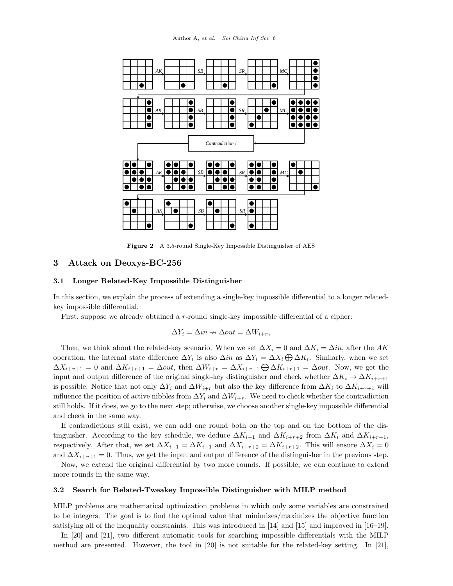<span id="page-5-0"></span>

Figure 2 A 3.5-round Single-Key Impossible Distinguisher of AES

#### 3 Attack on Deoxys-BC-256

#### <span id="page-5-1"></span>3.1 Longer Related-Key Impossible Distinguisher

In this section, we explain the process of extending a single-key impossible differential to a longer relatedkey impossible differential.

First, suppose we already obtained a r-round single-key impossible differential of a cipher:

$$
\Delta Y_i = \Delta in \rightarrow \Delta out = \Delta W_{i+r},
$$

Then, we think about the related-key scenario. When we set  $\Delta X_i = 0$  and  $\Delta K_i = \Delta in$ , after the AK operation, the internal state difference  $\Delta Y_i$  is also  $\Delta in$  as  $\Delta Y_i = \Delta X_i \bigoplus \Delta K_i$ . Similarly, when we set  $\Delta X_{i+r+1} = 0$  and  $\Delta K_{i+r+1} = \Delta out$ , then  $\Delta W_{i+r} = \Delta X_{i+r+1} \bigoplus \Delta K_{i+r+1} = \Delta out$ . Now, we get the input and output difference of the original single-key distinguisher and check whether  $\Delta K_i \to \Delta K_{i+r+1}$ is possible. Notice that not only  $\Delta Y_i$  and  $\Delta W_{i+r}$  but also the key difference from  $\Delta K_i$  to  $\Delta K_{i+r+1}$  will influence the position of active nibbles from  $\Delta Y_i$  and  $\Delta W_{i+r}$ . We need to check whether the contradiction still holds. If it does, we go to the next step; otherwise, we choose another single-key impossible differential and check in the same way.

If contradictions still exist, we can add one round both on the top and on the bottom of the distinguisher. According to the key schedule, we deduce  $\Delta K_{i-1}$  and  $\Delta K_{i+r+2}$  from  $\Delta K_i$  and  $\Delta K_{i+r+1}$ , respectively. After that, we set  $\Delta X_{i-1} = \Delta K_{i-1}$  and  $\Delta X_{i+r+2} = \Delta K_{i+r+2}$ . This will ensure  $\Delta X_i = 0$ and  $\Delta X_{i+r+1} = 0$ . Thus, we get the input and output difference of the distinguisher in the previous step.

Now, we extend the original differential by two more rounds. If possible, we can continue to extend more rounds in the same way.

## <span id="page-5-2"></span>3.2 Search for Related-Tweakey Impossible Distinguisher with MILP method

MILP problems are mathematical optimization problems in which only some variables are constrained to be integers. The goal is to find the optimal value that minimizes/maximizes the objective function satisfying all of the inequality constraints. This was introduced in [\[14\]](#page-12-7) and [\[15\]](#page-12-8) and improved in [\[16–](#page-12-9)[19\]](#page-12-10).

In [\[20\]](#page-12-11) and [\[21\]](#page-12-12), two different automatic tools for searching impossible differentials with the MILP method are presented. However, the tool in [\[20\]](#page-12-11) is not suitable for the related-key setting. In [\[21\]](#page-12-12),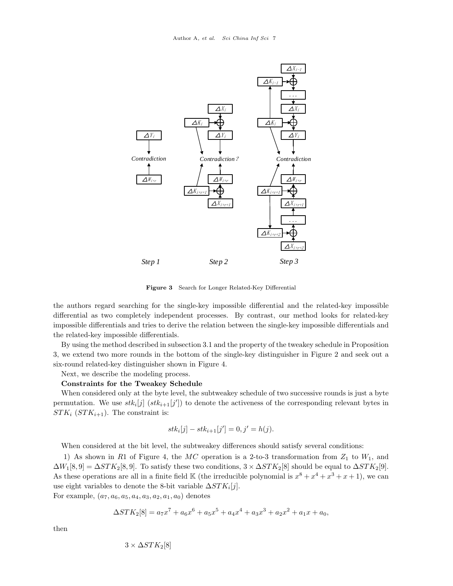

Figure 3 Search for Longer Related-Key Differential

the authors regard searching for the single-key impossible differential and the related-key impossible differential as two completely independent processes. By contrast, our method looks for related-key impossible differentials and tries to derive the relation between the single-key impossible differentials and the related-key impossible differentials.

By using the method described in [subsection 3.1](#page-5-1) and the property of the tweakey schedule in Proposition 3, we extend two more rounds in the bottom of the single-key distinguisher in [Figure 2](#page-5-0) and seek out a six-round related-key distinguisher shown in [Figure 4.](#page-8-0)

Next, we describe the modeling process.

#### Constraints for the Tweakey Schedule

When considered only at the byte level, the subtweakey schedule of two successive rounds is just a byte permutation. We use  $stk_i[j]$   $(stk_{i+1}[j'])$  to denote the activeness of the corresponding relevant bytes in  $STK_i$  ( $STK_{i+1}$ ). The constraint is:

$$
stk_i[j] - stk_{i+1}[j'] = 0, j' = h(j).
$$

When considered at the bit level, the subtweakey differences should satisfy several conditions:

1) As shown in R1 of [Figure 4,](#page-8-0) the  $MC$  operation is a 2-to-3 transformation from  $Z_1$  to  $W_1$ , and  $\Delta W_1[8, 9] = \Delta STK_2[8, 9]$ . To satisfy these two conditions,  $3 \times \Delta STK_2[8]$  should be equal to  $\Delta STK_2[9]$ . As these operations are all in a finite field K (the irreducible polynomial is  $x^8 + x^4 + x^3 + x + 1$ ), we can use eight variables to denote the 8-bit variable  $\Delta STK_i[j]$ .

For example,  $(a_7, a_6, a_5, a_4, a_3, a_2, a_1, a_0)$  denotes

$$
\Delta STK_2[8] = a_7x^7 + a_6x^6 + a_5x^5 + a_4x^4 + a_3x^3 + a_2x^2 + a_1x + a_0,
$$

then

$$
3 \times \Delta STK_2[8]
$$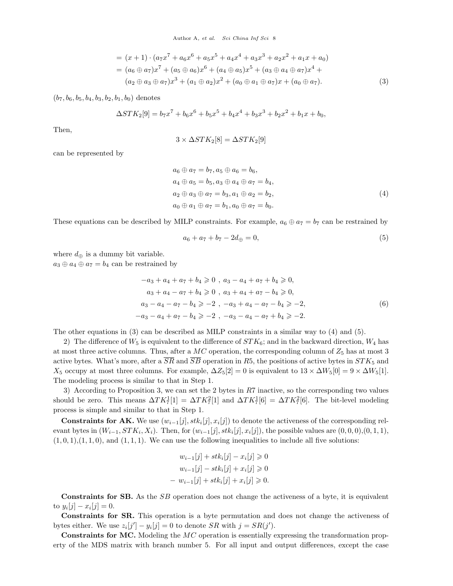$$
= (x + 1) \cdot (a_7 x^7 + a_6 x^6 + a_5 x^5 + a_4 x^4 + a_3 x^3 + a_2 x^2 + a_1 x + a_0)
$$
  
=  $(a_6 \oplus a_7)x^7 + (a_5 \oplus a_6)x^6 + (a_4 \oplus a_5)x^5 + (a_3 \oplus a_4 \oplus a_7)x^4 + (a_2 \oplus a_3 \oplus a_7)x^3 + (a_1 \oplus a_2)x^2 + (a_0 \oplus a_1 \oplus a_7)x + (a_0 \oplus a_7).$  (3)

 $(b_7, b_6, b_5, b_4, b_3, b_2, b_1, b_0)$  denotes

$$
\Delta STK_2[9] = b_7x^7 + b_6x^6 + b_5x^5 + b_4x^4 + b_3x^3 + b_2x^2 + b_1x + b_0,
$$

Then,

$$
3 \times \Delta STK_2[8] = \Delta STK_2[9]
$$

can be represented by

$$
a_6 \oplus a_7 = b_7, a_5 \oplus a_6 = b_6,a_4 \oplus a_5 = b_5, a_3 \oplus a_4 \oplus a_7 = b_4,a_2 \oplus a_3 \oplus a_7 = b_3, a_1 \oplus a_2 = b_2,a_0 \oplus a_1 \oplus a_7 = b_1, a_0 \oplus a_7 = b_0.
$$
\n(4)

These equations can be described by MILP constraints. For example,  $a_6 \oplus a_7 = b_7$  can be restrained by

$$
a_6 + a_7 + b_7 - 2d_{\oplus} = 0,\t\t(5)
$$

where  $d_{\oplus}$  is a dummy bit variable.

 $a_3 \oplus a_4 \oplus a_7 = b_4$  can be restrained by

$$
-a_3 + a_4 + a_7 + b_4 \ge 0, \quad a_3 - a_4 + a_7 + b_4 \ge 0,
$$
  
\n
$$
a_3 + a_4 - a_7 + b_4 \ge 0, \quad a_3 + a_4 + a_7 - b_4 \ge 0,
$$
  
\n
$$
a_3 - a_4 - a_7 - b_4 \ge -2, \quad -a_3 + a_4 - a_7 - b_4 \ge -2,
$$
  
\n
$$
-a_3 - a_4 + a_7 - b_4 \ge -2, \quad -a_3 - a_4 - a_7 + b_4 \ge -2.
$$
\n(6)

The other equations in (3) can be described as MILP constraints in a similar way to (4) and (5).

2) The difference of  $W_5$  is equivalent to the difference of  $STK_6$ ; and in the backward direction,  $W_4$  has at most three active columns. Thus, after a  $MC$  operation, the corresponding column of  $Z_5$  has at most 3 active bytes. What's more, after a  $\overline{SR}$  and  $\overline{SB}$  operation in R5, the positions of active bytes in  $STK_5$  and  $X_5$  occupy at most three columns. For example,  $\Delta Z_5[2] = 0$  is equivalent to  $13 \times \Delta W_5[0] = 9 \times \Delta W_5[1]$ . The modeling process is similar to that in Step 1.

3) According to Proposition 3, we can set the 2 bytes in R7 inactive, so the corresponding two values should be zero. This means  $\Delta T K_7^1[1] = \Delta T K_7^2[1]$  and  $\Delta T K_7^1[6] = \Delta T K_7^2[6]$ . The bit-level modeling process is simple and similar to that in Step 1.

**Constraints for AK.** We use  $(w_{i-1}[j], stk_i[j], x_i[j])$  to denote the activeness of the corresponding relevant bytes in  $(W_{i-1}, STK_i, X_i)$ . Then, for  $(w_{i-1}[j], stk_i[j], x_i[j])$ , the possible values are  $(0, 0, 0), (0, 1, 1),$  $(1, 0, 1), (1, 1, 0),$  and  $(1, 1, 1).$  We can use the following inequalities to include all five solutions:

$$
w_{i-1}[j] + stk_i[j] - x_i[j] \ge 0
$$
  
\n
$$
w_{i-1}[j] - stk_i[j] + x_i[j] \ge 0
$$
  
\n
$$
- w_{i-1}[j] + stk_i[j] + x_i[j] \ge 0.
$$

Constraints for SB. As the SB operation does not change the activeness of a byte, it is equivalent to  $y_i[j] - x_i[j] = 0.$ 

Constraints for SR. This operation is a byte permutation and does not change the activeness of bytes either. We use  $z_i[j'] - y_i[j] = 0$  to denote  $SR$  with  $j = SR(j')$ .

Constraints for MC. Modeling the MC operation is essentially expressing the transformation property of the MDS matrix with branch number 5. For all input and output differences, except the case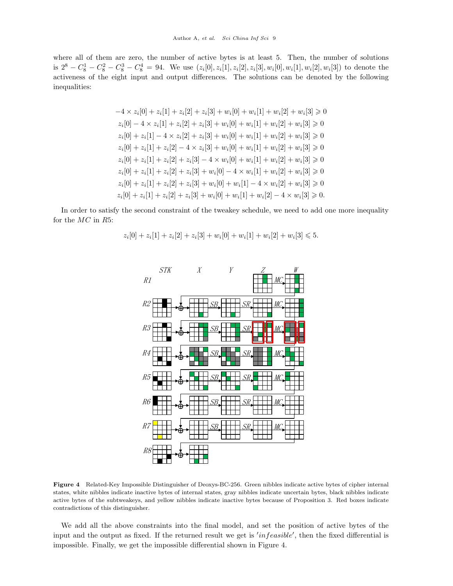where all of them are zero, the number of active bytes is at least 5. Then, the number of solutions is  $2^8 - C_8^1 - C_8^2 - C_8^3 - C_8^4 = 94$ . We use  $(z_i[0], z_i[1], z_i[2], z_i[3], w_i[0], w_i[1], w_i[2], w_i[3])$  to denote the activeness of the eight input and output differences. The solutions can be denoted by the following inequalities:

$$
-4 \times z_i[0] + z_i[1] + z_i[2] + z_i[3] + w_i[0] + w_i[1] + w_i[2] + w_i[3] \ge 0
$$
  
\n
$$
z_i[0] - 4 \times z_i[1] + z_i[2] + z_i[3] + w_i[0] + w_i[1] + w_i[2] + w_i[3] \ge 0
$$
  
\n
$$
z_i[0] + z_i[1] - 4 \times z_i[2] + z_i[3] + w_i[0] + w_i[1] + w_i[2] + w_i[3] \ge 0
$$
  
\n
$$
z_i[0] + z_i[1] + z_i[2] - 4 \times z_i[3] + w_i[0] + w_i[1] + w_i[2] + w_i[3] \ge 0
$$
  
\n
$$
z_i[0] + z_i[1] + z_i[2] + z_i[3] - 4 \times w_i[0] + w_i[1] + w_i[2] + w_i[3] \ge 0
$$
  
\n
$$
z_i[0] + z_i[1] + z_i[2] + z_i[3] + w_i[0] - 4 \times w_i[1] + w_i[2] + w_i[3] \ge 0
$$
  
\n
$$
z_i[0] + z_i[1] + z_i[2] + z_i[3] + w_i[0] + w_i[1] - 4 \times w_i[2] + w_i[3] \ge 0
$$
  
\n
$$
z_i[0] + z_i[1] + z_i[2] + z_i[3] + w_i[0] + w_i[1] + w_i[2] - 4 \times w_i[3] \ge 0.
$$

<span id="page-8-0"></span>In order to satisfy the second constraint of the tweakey schedule, we need to add one more inequality for the MC in R5:

$$
z_i[0] + z_i[1] + z_i[2] + z_i[3] + w_i[0] + w_i[1] + w_i[2] + w_i[3] \leq 5.
$$



Figure 4 Related-Key Impossible Distinguisher of Deoxys-BC-256. Green nibbles indicate active bytes of cipher internal states, white nibbles indicate inactive bytes of internal states, gray nibbles indicate uncertain bytes, black nibbles indicate active bytes of the subtweakeys, and yellow nibbles indicate inactive bytes because of Proposition 3. Red boxes indicate contradictions of this distinguisher.

We add all the above constraints into the final model, and set the position of active bytes of the input and the output as fixed. If the returned result we get is  $'infeasible'$ , then the fixed differential is impossible. Finally, we get the impossible differential shown in [Figure 4.](#page-8-0)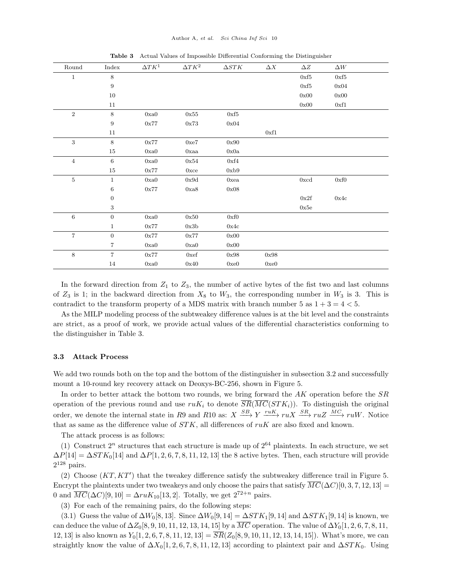<span id="page-9-0"></span>

| Round           | Index            | $\Delta TK^1$ | $\Delta TK^2$ | $\Delta STK$ | $\Delta X$ | $\Delta Z$   | $\Delta W$ |
|-----------------|------------------|---------------|---------------|--------------|------------|--------------|------------|
| $\mathbf{1}$    | 8                |               |               |              |            | $0xf5$       | $0xf5$     |
|                 | 9                |               |               |              |            | 0xf5         | 0x04       |
|                 | $10\,$           |               |               |              |            | 0x00         | 0x00       |
|                 | 11               |               |               |              |            | 0x00         | 0xf1       |
| $\,2$           | 8                | 0xa0          | 0x55          | 0xf5         |            |              |            |
|                 | $\boldsymbol{9}$ | $0x77$        | 0x73          | 0x04         |            |              |            |
|                 | 11               |               |               |              | 0xf1       |              |            |
| 3               | 8                | $0x77$        | 0xe7          | 0x90         |            |              |            |
|                 | $15\,$           | 0xa0          | $0$ xaa       | 0x0a         |            |              |            |
| $\sqrt{4}$      | 6                | 0xa0          | 0x54          | 0xf4         |            |              |            |
|                 | $15\,$           | 0x77          | $0 \times c$  | 0xb9         |            |              |            |
| $\bf 5$         | $\mathbf{1}$     | 0xa0          | 0x9d          | 0xea         |            | $0 \times d$ | 0xf0       |
|                 | $\,6\,$          | $0x77$        | $0xa8$        | 0x08         |            |              |            |
|                 | $\boldsymbol{0}$ |               |               |              |            | 0x2f         | $0x4c$     |
|                 | 3                |               |               |              |            | 0x5e         |            |
| $6\phantom{.}6$ | $\mathbf{0}$     | 0xa0          | 0x50          | 0xf0         |            |              |            |
|                 | $\mathbf{1}$     | 0x77          | 0x3b          | 0x4c         |            |              |            |
| $\overline{7}$  | $\mathbf{0}$     | 0x77          | 0x77          | 0x00         |            |              |            |
|                 | 7                | 0xa0          | 0xa0          | 0x00         |            |              |            |
| $8\,$           | $\,7$            | $0x77$        | 0xef          | 0x98         | 0x98       |              |            |
|                 | 14               | 0xa0          | 0x40          | 0xe0         | 0xe0       |              |            |

Table 3 Actual Values of Impossible Differential Conforming the Distinguisher

In the forward direction from  $Z_1$  to  $Z_3$ , the number of active bytes of the fist two and last columns of  $Z_3$  is 1; in the backward direction from  $X_8$  to  $W_3$ , the corresponding number in  $W_3$  is 3. This is contradict to the transform property of a MDS matrix with branch number 5 as  $1 + 3 = 4 < 5$ .

As the MILP modeling process of the subtweakey difference values is at the bit level and the constraints are strict, as a proof of work, we provide actual values of the differential characteristics conforming to the distinguisher in [Table 3.](#page-9-0)

#### 3.3 Attack Process

We add two rounds both on the top and the bottom of the distinguisher in [subsection 3.2](#page-5-2) and successfully mount a 10-round key recovery attack on Deoxys-BC-256, shown in [Figure 5.](#page-10-0)

In order to better attack the bottom two rounds, we bring forward the AK operation before the SR operation of the previous round and use  $ruK_i$  to denote  $\overline{SR}(\overline{MC}(STK_i))$ . To distinguish the original order, we denote the internal state in R9 and R10 as:  $X \xrightarrow{SB} Y \xrightarrow{ruK} ruX \xrightarrow{SR} ruZ \xrightarrow{MC} ruW$ . Notice that as same as the difference value of  $STK$ , all differences of  $ruK$  are also fixed and known.

The attack process is as follows:

(1) Construct  $2^n$  structures that each structure is made up of  $2^{64}$  plaintexts. In each structure, we set  $\Delta P[14] = \Delta STK_0[14]$  and  $\Delta P[1, 2, 6, 7, 8, 11, 12, 13]$  the 8 active bytes. Then, each structure will provide  $2^{128}$  pairs.

(2) Choose  $(KT, KT')$  that the tweakey difference satisfy the subtweakey difference trail in [Figure 5.](#page-10-0) Encrypt the plaintexts under two tweakeys and only choose the pairs that satisfy  $\overline{MC}(\Delta C)[0, 3, 7, 12, 13] =$ 0 and  $\overline{MC}(\Delta C)[9, 10] = \Delta ruK_{10}[13, 2]$ . Totally, we get  $2^{72+n}$  pairs.

(3) For each of the remaining pairs, do the following steps:

(3.1) Guess the value of  $\Delta W_0[8, 13]$ . Since  $\Delta W_0[9, 14] = \Delta STK_1[9, 14]$  and  $\Delta STK_1[9, 14]$  is known, we can deduce the value of  $\Delta Z_0[8, 9, 10, 11, 12, 13, 14, 15]$  by a  $\overline{MC}$  operation. The value of  $\Delta Y_0[1, 2, 6, 7, 8, 11,$ 12, 13] is also known as  $Y_0[1, 2, 6, 7, 8, 11, 12, 13] = \overline{SR}(Z_0[8, 9, 10, 11, 12, 13, 14, 15])$ . What's more, we can straightly know the value of  $\Delta X_0[1, 2, 6, 7, 8, 11, 12, 13]$  according to plaintext pair and  $\Delta STK_0$ . Using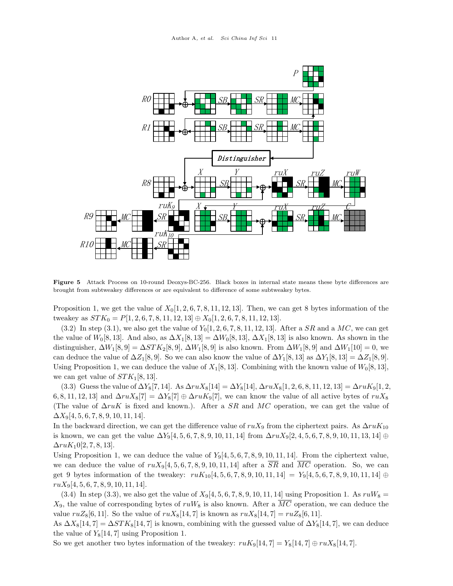<span id="page-10-0"></span>

Figure 5 Attack Process on 10-round Deoxys-BC-256. Black boxes in internal state means these byte differences are brought from subtweakey differences or are equivalent to difference of some subtweakey bytes.

Proposition 1, we get the value of  $X_0[1, 2, 6, 7, 8, 11, 12, 13]$ . Then, we can get 8 bytes information of the tweakey as  $STK_0 = P[1, 2, 6, 7, 8, 11, 12, 13] \oplus X_0[1, 2, 6, 7, 8, 11, 12, 13].$ 

 $(3.2)$  In step  $(3.1)$ , we also get the value of  $Y_0[1, 2, 6, 7, 8, 11, 12, 13]$ . After a SR and a MC, we can get the value of  $W_0[8, 13]$ . And also, as  $\Delta X_1[8, 13] = \Delta W_0[8, 13]$ ,  $\Delta X_1[8, 13]$  is also known. As shown in the distinguisher,  $\Delta W_1[8, 9] = \Delta STK_2[8, 9]$ ,  $\Delta W_1[8, 9]$  is also known. From  $\Delta W_1[8, 9]$  and  $\Delta W_1[10] = 0$ , we can deduce the value of  $\Delta Z_1[8, 9]$ . So we can also know the value of  $\Delta Y_1[8, 13]$  as  $\Delta Y_1[8, 13] = \Delta Z_1[8, 9]$ . Using Proposition 1, we can deduce the value of  $X_1[8, 13]$ . Combining with the known value of  $W_0[8, 13]$ , we can get value of  $STK_1[8, 13]$ .

(3.3) Guess the value of  $\Delta Y_8[7, 14]$ . As  $\Delta ruX_8[14] = \Delta Y_8[14]$ ,  $\Delta ruX_8[1, 2, 6, 8, 11, 12, 13] = \Delta ruX_9[1, 2, 13]$ 6, 8, 11, 12, 13] and  $\Delta ruX_8[7] = \Delta Y_8[7] \oplus \Delta ruX_9[7]$ , we can know the value of all active bytes of  $ruX_8$ (The value of  $\Delta r uK$  is fixed and known.). After a SR and MC operation, we can get the value of  $\Delta X_9[4, 5, 6, 7, 8, 9, 10, 11, 14].$ 

In the backward direction, we can get the difference value of  $ruX_9$  from the ciphertext pairs. As  $\Delta ruK_{10}$ is known, we can get the value  $\Delta Y_9[4, 5, 6, 7, 8, 9, 10, 11, 14]$  from  $\Delta ruX_9[2, 4, 5, 6, 7, 8, 9, 10, 11, 13, 14]$  ⊕  $\Delta ruK_10[2, 7, 8, 13].$ 

Using Proposition 1, we can deduce the value of  $Y_9[4, 5, 6, 7, 8, 9, 10, 11, 14]$ . From the ciphertext value, we can deduce the value of  $ruX_9[4, 5, 6, 7, 8, 9, 10, 11, 14]$  after a  $\overline{SR}$  and  $\overline{MC}$  operation. So, we can get 9 bytes information of the tweakey:  $ruK_{10}[4, 5, 6, 7, 8, 9, 10, 11, 14] = Y_9[4, 5, 6, 7, 8, 9, 10, 11, 14] \oplus$  $ruX<sub>9</sub>[4, 5, 6, 7, 8, 9, 10, 11, 14].$ 

(3.4) In step (3.3), we also get the value of  $X_9[4, 5, 6, 7, 8, 9, 10, 11, 14]$  using Proposition 1. As  $ruW_8$  =  $X_9$ , the value of corresponding bytes of  $ruW_8$  is also known. After a  $\overline{MC}$  operation, we can deduce the value  $ruZ_8[6, 11]$ . So the value of  $ruX_8[14, 7]$  is known as  $ruX_8[14, 7] = ruZ_8[6, 11]$ .

As  $\Delta X_8[14, 7] = \Delta STK_8[14, 7]$  is known, combining with the guessed value of  $\Delta Y_8[14, 7]$ , we can deduce the value of  $Y_8[14, 7]$  using Proposition 1.

So we get another two bytes information of the tweakey:  $ruK_9[14, 7] = Y_8[14, 7] \oplus ruK_8[14, 7]$ .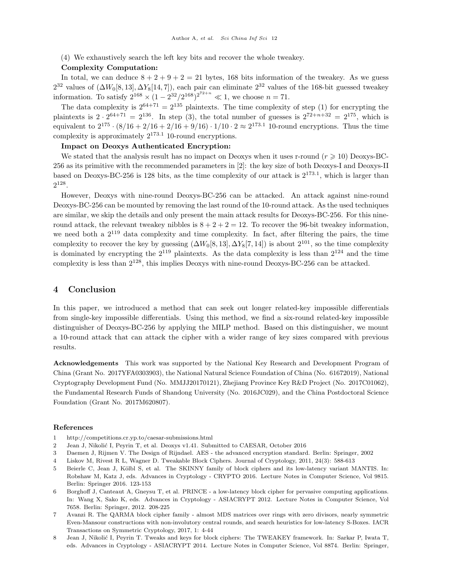(4) We exhaustively search the left key bits and recover the whole tweakey.

#### Complexity Computation:

In total, we can deduce  $8 + 2 + 9 + 2 = 21$  bytes, 168 bits information of the tweakey. As we guess  $2^{32}$  values of  $(\Delta W_0[8, 13], \Delta Y_8[14, 7])$ , each pair can eliminate  $2^{32}$  values of the 168-bit guessed tweakey information. To satisfy  $2^{168} \times (1 - 2^{32}/2^{168})^{2^{72+n}} \ll 1$ , we choose  $n = 71$ .

The data complexity is  $2^{64+71} = 2^{135}$  plaintexts. The time complexity of step (1) for encrypting the plaintexts is  $2 \cdot 2^{64+71} = 2^{136}$ . In step (3), the total number of guesses is  $2^{72+n+32} = 2^{175}$ , which is equivalent to  $2^{175} \cdot (8/16 + 2/16 + 2/16 + 9/16) \cdot 1/10 \cdot 2 \approx 2^{173.1}$  10-round encryptions. Thus the time complexity is approximately  $2^{173.1}$  10-round encryptions.

### Impact on Deoxys Authenticated Encryption:

We stated that the analysis result has no impact on Deoxys when it uses r-round  $(r \geq 10)$  Deoxys-BC-256 as its primitive with the recommended parameters in [\[2\]](#page-11-1): the key size of both Deoxys-I and Deoxys-II based on Deoxys-BC-256 is 128 bits, as the time complexity of our attack is  $2^{173.1}$ , which is larger than  $2^{128}$ .

However, Deoxys with nine-round Deoxys-BC-256 can be attacked. An attack against nine-round Deoxys-BC-256 can be mounted by removing the last round of the 10-round attack. As the used techniques are similar, we skip the details and only present the main attack results for Deoxys-BC-256. For this nineround attack, the relevant tweakey nibbles is  $8 + 2 + 2 = 12$ . To recover the 96-bit tweakey information, we need both a  $2^{119}$  data complexity and time complexity. In fact, after filtering the pairs, the time complexity to recover the key by guessing  $(\Delta W_0[8, 13], \Delta Y_8[7, 14])$  is about  $2^{101}$ , so the time complexity is dominated by encrypting the  $2^{119}$  plaintexts. As the data complexity is less than  $2^{124}$  and the time complexity is less than 2128, this implies Deoxys with nine-round Deoxys-BC-256 can be attacked.

## 4 Conclusion

In this paper, we introduced a method that can seek out longer related-key impossible differentials from single-key impossible differentials. Using this method, we find a six-round related-key impossible distinguisher of Deoxys-BC-256 by applying the MILP method. Based on this distinguisher, we mount a 10-round attack that can attack the cipher with a wider range of key sizes compared with previous results.

Acknowledgements This work was supported by the National Key Research and Development Program of China (Grant No. 2017YFA0303903), the National Natural Science Foundation of China (No. 61672019), National Cryptography Development Fund (No. MMJJ20170121), Zhejiang Province Key R&D Project (No. 2017C01062), the Fundamental Research Funds of Shandong University (No. 2016JC029), and the China Postdoctoral Science Foundation (Grant No. 2017M620807).

#### References

- <span id="page-11-0"></span>1 http://competitions.cr.yp.to/caesar-submissions.html
- <span id="page-11-1"></span>2 Jean J, Nikolić I, Peyrin T, et al. Deoxys v1.41. Submitted to CAESAR, October 2016
- <span id="page-11-2"></span>3 Daemen J, Rijmen V. The Design of Rijndael. AES - the advanced encryption standard. Berlin: Springer, 2002
- <span id="page-11-3"></span>4 Liskov M, Rivest R L, Wagner D. Tweakable Block Ciphers. Journal of Cryptology, 2011, 24(3): 588-613
- <span id="page-11-4"></span>5 Beierle C, Jean J, Kölbl S, et al. The SKINNY family of block ciphers and its low-latency variant MANTIS. In: Robshaw M, Katz J, eds. Advances in Cryptology - CRYPTO 2016. Lecture Notes in Computer Science, Vol 9815. Berlin: Springer 2016. 123-153
- <span id="page-11-5"></span>6 Borghoff J, Canteaut A, Gneysu T, et al. PRINCE - a low-latency block cipher for pervasive computing applications. In: Wang X, Sako K, eds. Advances in Cryptology - ASIACRYPT 2012. Lecture Notes in Computer Science, Vol 7658. Berlin: Springer, 2012. 208-225
- <span id="page-11-6"></span>7 Avanzi R. The QARMA block cipher family - almost MDS matrices over rings with zero divisors, nearly symmetric Even-Mansour constructions with non-involutory central rounds, and search heuristics for low-latency S-Boxes. IACR Transactions on Symmetric Cryptology, 2017, 1: 4-44
- <span id="page-11-7"></span>8 Jean J, Nikolić I, Peyrin T. Tweaks and keys for block ciphers: The TWEAKEY framework. In: Sarkar P, Iwata T, eds. Advances in Cryptology - ASIACRYPT 2014. Lecture Notes in Computer Science, Vol 8874. Berlin: Springer,